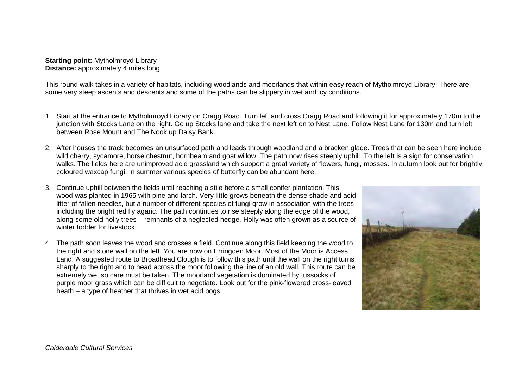## **Starting point:** Mytholmroyd Library **Distance:** approximately 4 miles long

This round walk takes in a variety of habitats, including woodlands and moorlands that within easy reach of Mytholmroyd Library. There are some very steep ascents and descents and some of the paths can be slippery in wet and icy conditions.

- 1. Start at the entrance to Mytholmroyd Library on Cragg Road. Turn left and cross Cragg Road and following it for approximately 170m to the junction with Stocks Lane on the right. Go up Stocks lane and take the next left on to Nest Lane. Follow Nest Lane for 130m and turn left between Rose Mount and The Nook up Daisy Bank.
- 2. After houses the track becomes an unsurfaced path and leads through woodland and a bracken glade. Trees that can be seen here include wild cherry, sycamore, horse chestnut, hornbeam and goat willow. The path now rises steeply uphill. To the left is a sign for conservation walks. The fields here are unimproved acid grassland which support a great variety of flowers, fungi, mosses. In autumn look out for brightly coloured waxcap fungi. In summer various species of butterfly can be abundant here.
- 3. Continue uphill between the fields until reaching a stile before a small conifer plantation. This wood was planted in 1965 with pine and larch. Very little grows beneath the dense shade and acid litter of fallen needles, but a number of different species of fungi grow in association with the trees including the bright red fly agaric. The path continues to rise steeply along the edge of the wood, along some old holly trees – remnants of a neglected hedge. Holly was often grown as a source of winter fodder for livestock.
- 4. The path soon leaves the wood and crosses a field. Continue along this field keeping the wood to the right and stone wall on the left. You are now on Erringden Moor. Most of the Moor is Access Land. A suggested route to Broadhead Clough is to follow this path until the wall on the right turns sharply to the right and to head across the moor following the line of an old wall. This route can be extremely wet so care must be taken. The moorland vegetation is dominated by tussocks of purple moor grass which can be difficult to negotiate. Look out for the pink-flowered cross-leaved heath – a type of heather that thrives in wet acid bogs.

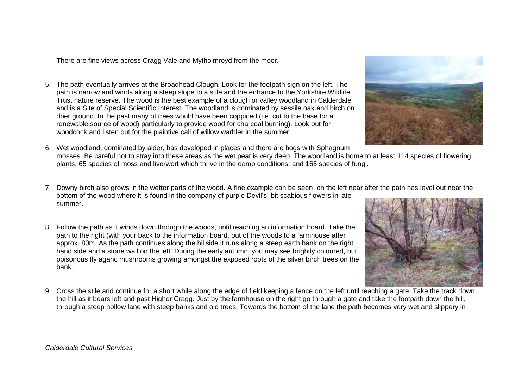There are fine views across Cragg Vale and Mytholmroyd from the moor.

- 5. The path eventually arrives at the Broadhead Clough. Look for the footpath sign on the left. The path is narrow and winds along a steep slope to a stile and the entrance to the Yorkshire Wildlife Trust nature reserve. The wood is the best example of a clough or valley woodland in Calderdale and is a Site of Special Scientific Interest. The woodland is dominated by sessile oak and birch on drier ground. In the past many of trees would have been coppiced (i.e. cut to the base for a renewable source of wood) particularly to provide wood for charcoal burning). Look out for woodcock and listen out for the plaintive call of willow warbler in the summer.
- 6. Wet woodland, dominated by alder, has developed in places and there are bogs with Sphagnum mosses. Be careful not to stray into these areas as the wet peat is very deep. The woodland is home to at least 114 species of flowering plants, 65 species of moss and liverwort which thrive in the damp conditions, and 165 species of fungi.
- 7. Downy birch also grows in the wetter parts of the wood. A fine example can be seen on the left near after the path has level out near the bottom of the wood where it is found in the company of purple Devil's–bit scabious flowers in late summer.
- 8. Follow the path as it winds down through the woods, until reaching an information board. Take the path to the right (with your back to the information board, out of the woods to a farmhouse after approx. 80m. As the path continues along the hillside it runs along a steep earth bank on the right hand side and a stone wall on the left. During the early autumn, you may see brightly coloured, but poisonous fly agaric mushrooms growing amongst the exposed roots of the silver birch trees on the bank.
- 9. Cross the stile and continue for a short while along the edge of field keeping a fence on the left until reaching a gate. Take the track down the hill as it bears left and past Higher Cragg. Just by the farmhouse on the right go through a gate and take the footpath down the hill, through a steep hollow lane with steep banks and old trees. Towards the bottom of the lane the path becomes very wet and slippery in